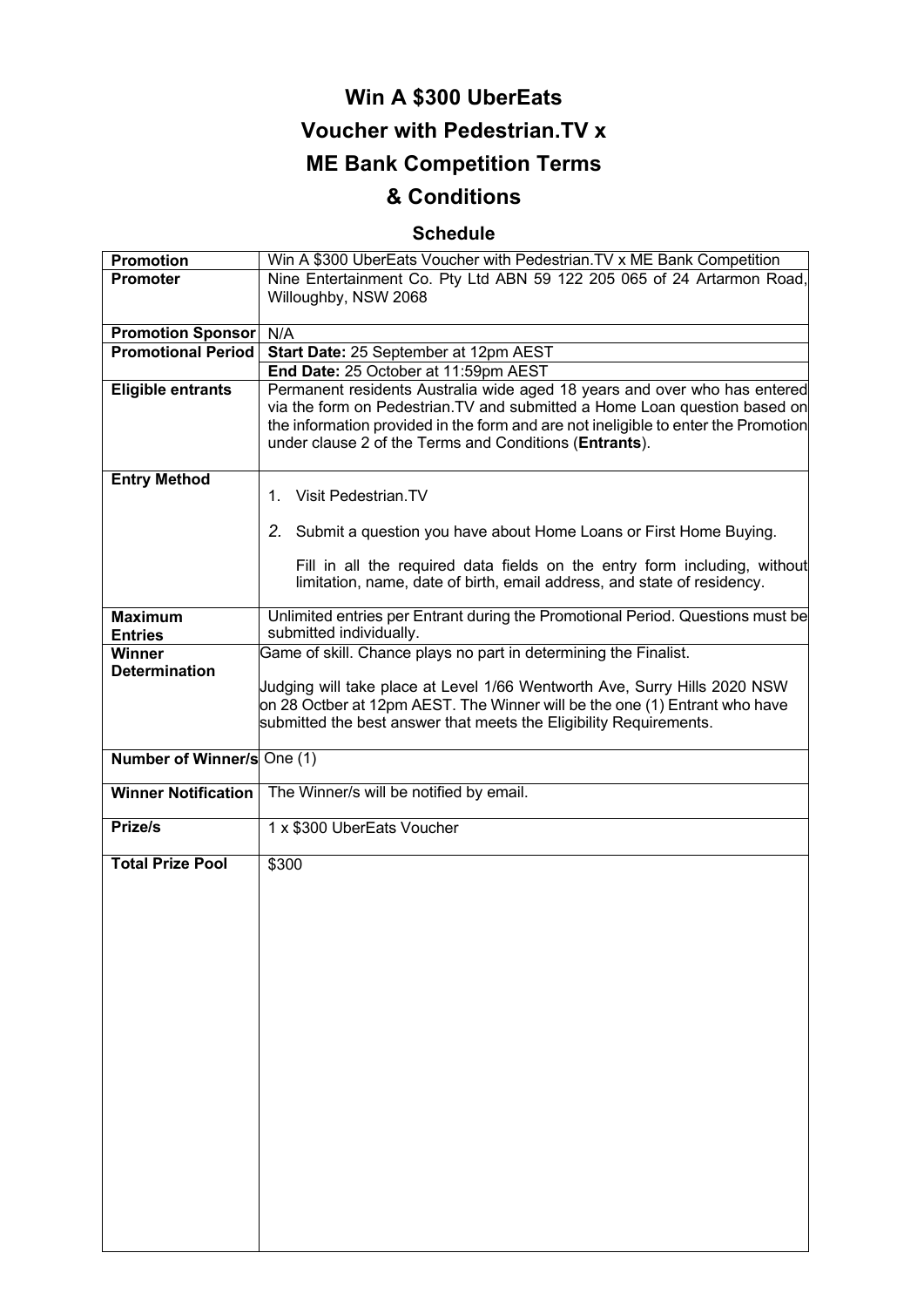# **Win A \$300 UberEats Voucher with Pedestrian.TV x ME Bank Competition Terms**

## **& Conditions**

### **Schedule**

| Promotion                  | Win A \$300 UberEats Voucher with Pedestrian. TV x ME Bank Competition             |
|----------------------------|------------------------------------------------------------------------------------|
| <b>Promoter</b>            | Nine Entertainment Co. Pty Ltd ABN 59 122 205 065 of 24 Artarmon Road,             |
|                            | Willoughby, NSW 2068                                                               |
|                            |                                                                                    |
| <b>Promotion Sponsor</b>   | N/A                                                                                |
| <b>Promotional Period</b>  | Start Date: 25 September at 12pm AEST                                              |
|                            | End Date: 25 October at 11:59pm AEST                                               |
| <b>Eligible entrants</b>   | Permanent residents Australia wide aged 18 years and over who has entered          |
|                            | via the form on Pedestrian. TV and submitted a Home Loan question based on         |
|                            | the information provided in the form and are not ineligible to enter the Promotion |
|                            | under clause 2 of the Terms and Conditions (Entrants).                             |
|                            |                                                                                    |
| <b>Entry Method</b>        |                                                                                    |
|                            | Visit Pedestrian.TV<br>1.                                                          |
|                            |                                                                                    |
|                            | 2. Submit a question you have about Home Loans or First Home Buying.               |
|                            |                                                                                    |
|                            | Fill in all the required data fields on the entry form including, without          |
|                            | limitation, name, date of birth, email address, and state of residency.            |
|                            |                                                                                    |
| <b>Maximum</b>             | Unlimited entries per Entrant during the Promotional Period. Questions must be     |
| <b>Entries</b>             | submitted individually.                                                            |
| <b>Winner</b>              | Game of skill. Chance plays no part in determining the Finalist.                   |
| <b>Determination</b>       |                                                                                    |
|                            | Judging will take place at Level 1/66 Wentworth Ave, Surry Hills 2020 NSW          |
|                            | on 28 Octber at 12pm AEST. The Winner will be the one (1) Entrant who have         |
|                            | submitted the best answer that meets the Eligibility Requirements.                 |
|                            |                                                                                    |
| Number of Winner/s One (1) |                                                                                    |
|                            |                                                                                    |
| <b>Winner Notification</b> | The Winner/s will be notified by email.                                            |
|                            |                                                                                    |
| Prize/s                    | 1 x \$300 UberEats Voucher                                                         |
|                            |                                                                                    |
| <b>Total Prize Pool</b>    | \$300                                                                              |
|                            |                                                                                    |
|                            |                                                                                    |
|                            |                                                                                    |
|                            |                                                                                    |
|                            |                                                                                    |
|                            |                                                                                    |
|                            |                                                                                    |
|                            |                                                                                    |
|                            |                                                                                    |
|                            |                                                                                    |
|                            |                                                                                    |
|                            |                                                                                    |
|                            |                                                                                    |
|                            |                                                                                    |
|                            |                                                                                    |
|                            |                                                                                    |
|                            |                                                                                    |
|                            |                                                                                    |
|                            |                                                                                    |
|                            |                                                                                    |
|                            |                                                                                    |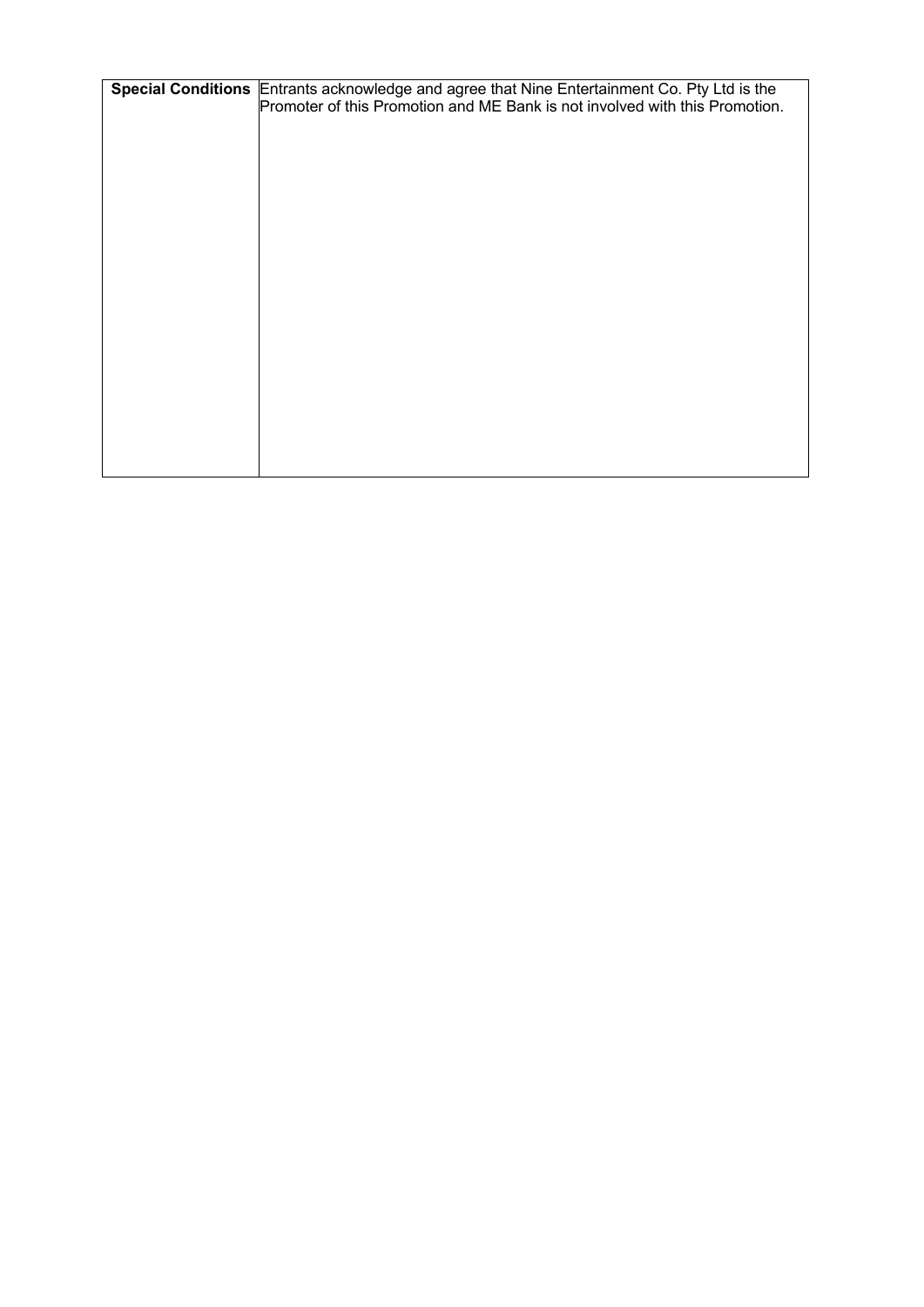| Special Conditions Entrants acknowledge and agree that Nine Entertainment Co. Pty Ltd is the |
|----------------------------------------------------------------------------------------------|
| Promoter of this Promotion and ME Bank is not involved with this Promotion.                  |
|                                                                                              |
|                                                                                              |
|                                                                                              |
|                                                                                              |
|                                                                                              |
|                                                                                              |
|                                                                                              |
|                                                                                              |
|                                                                                              |
|                                                                                              |
|                                                                                              |
|                                                                                              |
|                                                                                              |
|                                                                                              |
|                                                                                              |
|                                                                                              |
|                                                                                              |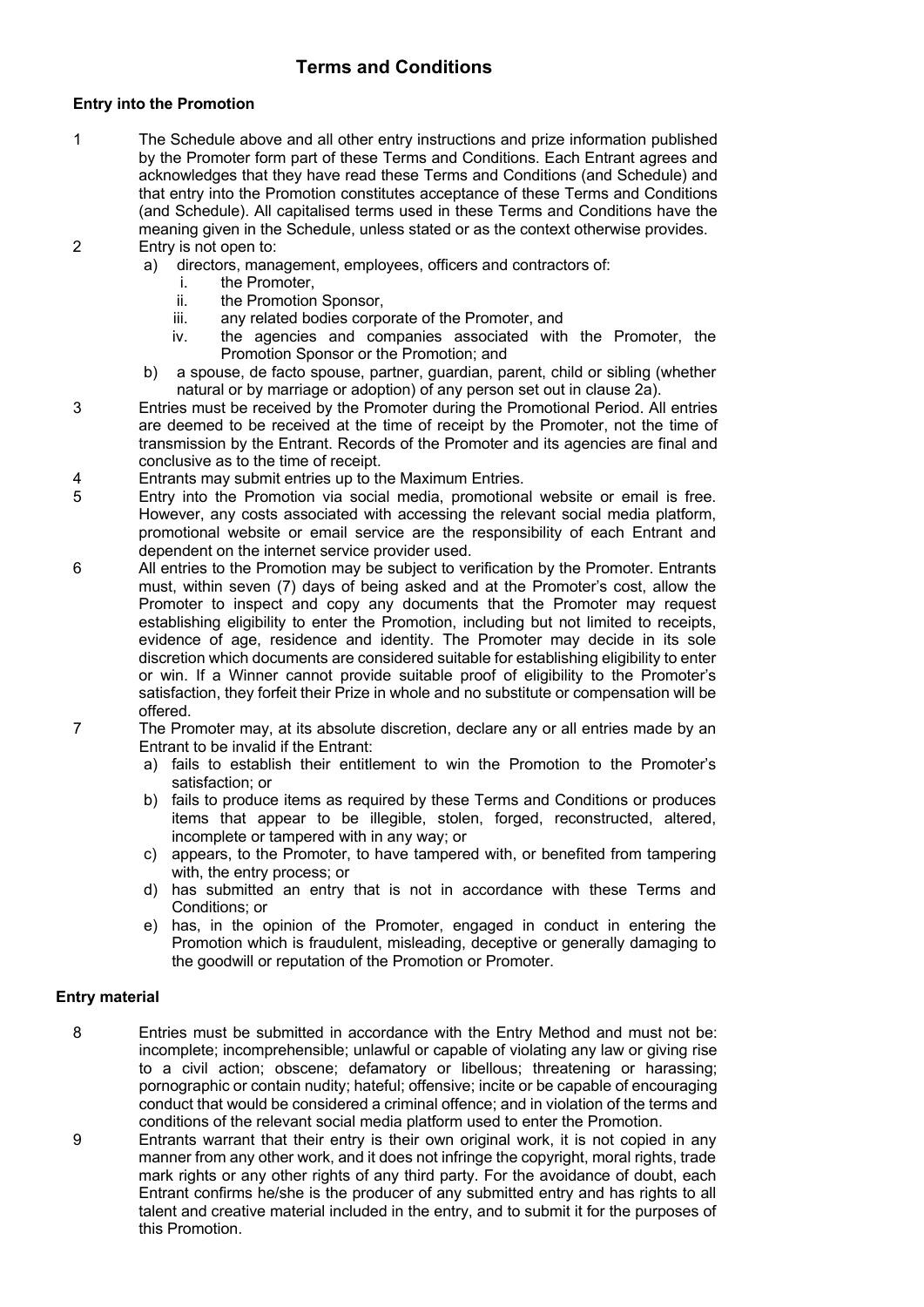#### **Terms and Conditions**

#### **Entry into the Promotion**

- 1 The Schedule above and all other entry instructions and prize information published by the Promoter form part of these Terms and Conditions. Each Entrant agrees and acknowledges that they have read these Terms and Conditions (and Schedule) and that entry into the Promotion constitutes acceptance of these Terms and Conditions (and Schedule). All capitalised terms used in these Terms and Conditions have the meaning given in the Schedule, unless stated or as the context otherwise provides. 2 Entry is not open to:
	- a) directors, management, employees, officers and contractors of:
		- i. the Promoter,
		- ii. the Promotion Sponsor,
		- iii. any related bodies corporate of the Promoter, and
		- iv. the agencies and companies associated with the Promoter, the Promotion Sponsor or the Promotion; and
		- b) a spouse, de facto spouse, partner, guardian, parent, child or sibling (whether natural or by marriage or adoption) of any person set out in clause 2a).
- 3 Entries must be received by the Promoter during the Promotional Period. All entries are deemed to be received at the time of receipt by the Promoter, not the time of transmission by the Entrant. Records of the Promoter and its agencies are final and conclusive as to the time of receipt.
- 4 Entrants may submit entries up to the Maximum Entries.
- 5 Entry into the Promotion via social media, promotional website or email is free. However, any costs associated with accessing the relevant social media platform, promotional website or email service are the responsibility of each Entrant and dependent on the internet service provider used.
- 6 All entries to the Promotion may be subject to verification by the Promoter. Entrants must, within seven (7) days of being asked and at the Promoter's cost, allow the Promoter to inspect and copy any documents that the Promoter may request establishing eligibility to enter the Promotion, including but not limited to receipts, evidence of age, residence and identity. The Promoter may decide in its sole discretion which documents are considered suitable for establishing eligibility to enter or win. If a Winner cannot provide suitable proof of eligibility to the Promoter's satisfaction, they forfeit their Prize in whole and no substitute or compensation will be offered.
- 7 The Promoter may, at its absolute discretion, declare any or all entries made by an Entrant to be invalid if the Entrant:
	- a) fails to establish their entitlement to win the Promotion to the Promoter's satisfaction; or
	- b) fails to produce items as required by these Terms and Conditions or produces items that appear to be illegible, stolen, forged, reconstructed, altered, incomplete or tampered with in any way; or
	- c) appears, to the Promoter, to have tampered with, or benefited from tampering with, the entry process; or
	- d) has submitted an entry that is not in accordance with these Terms and Conditions; or
	- e) has, in the opinion of the Promoter, engaged in conduct in entering the Promotion which is fraudulent, misleading, deceptive or generally damaging to the goodwill or reputation of the Promotion or Promoter.

#### **Entry material**

- 8 Entries must be submitted in accordance with the Entry Method and must not be: incomplete; incomprehensible; unlawful or capable of violating any law or giving rise to a civil action; obscene; defamatory or libellous; threatening or harassing; pornographic or contain nudity; hateful; offensive; incite or be capable of encouraging conduct that would be considered a criminal offence; and in violation of the terms and conditions of the relevant social media platform used to enter the Promotion.
- 9 Entrants warrant that their entry is their own original work, it is not copied in any manner from any other work, and it does not infringe the copyright, moral rights, trade mark rights or any other rights of any third party. For the avoidance of doubt, each Entrant confirms he/she is the producer of any submitted entry and has rights to all talent and creative material included in the entry, and to submit it for the purposes of this Promotion.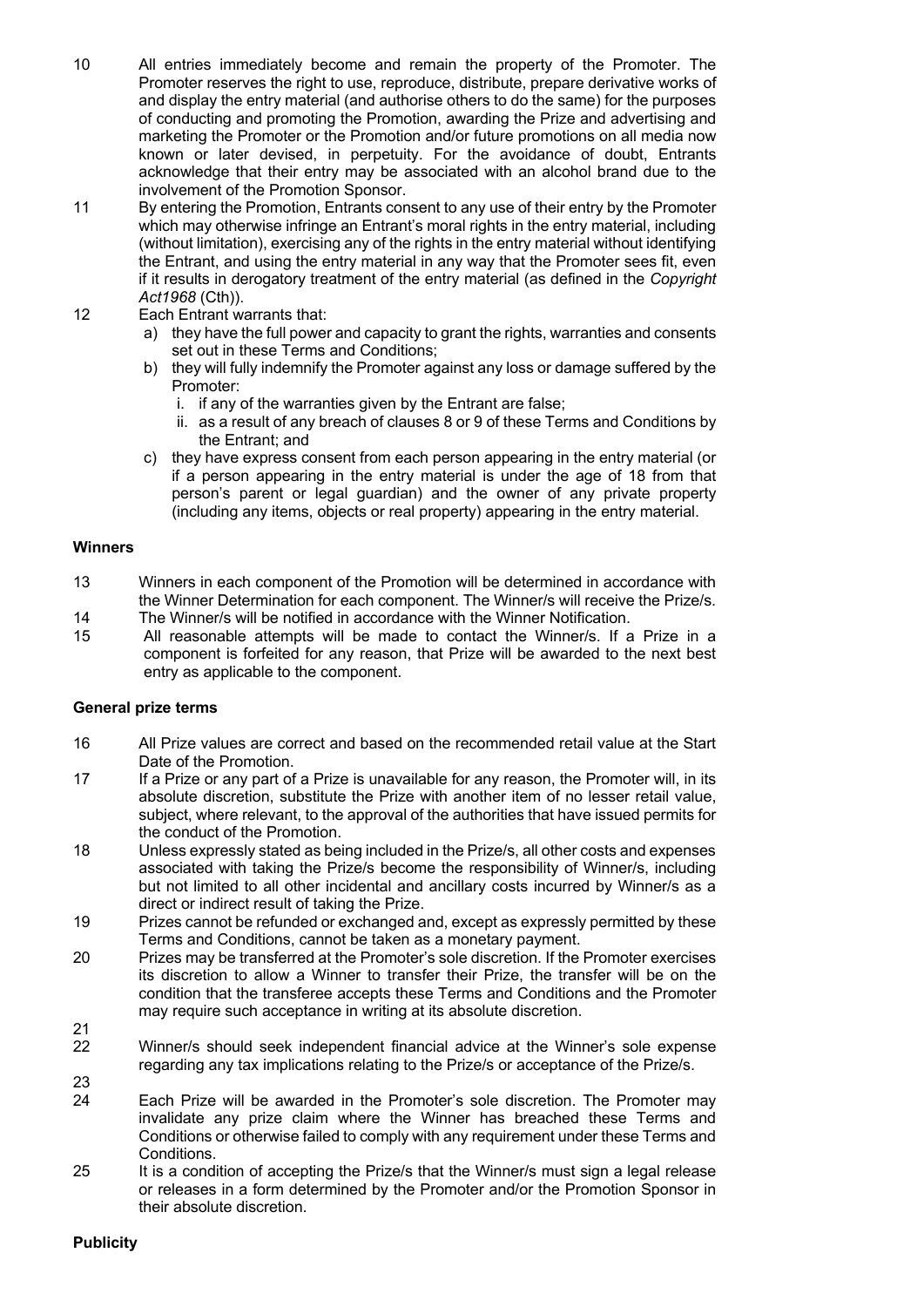- 10 All entries immediately become and remain the property of the Promoter. The Promoter reserves the right to use, reproduce, distribute, prepare derivative works of and display the entry material (and authorise others to do the same) for the purposes of conducting and promoting the Promotion, awarding the Prize and advertising and marketing the Promoter or the Promotion and/or future promotions on all media now known or later devised, in perpetuity. For the avoidance of doubt, Entrants acknowledge that their entry may be associated with an alcohol brand due to the involvement of the Promotion Sponsor.
- 11 By entering the Promotion, Entrants consent to any use of their entry by the Promoter which may otherwise infringe an Entrant's moral rights in the entry material, including (without limitation), exercising any of the rights in the entry material without identifying the Entrant, and using the entry material in any way that the Promoter sees fit, even if it results in derogatory treatment of the entry material (as defined in the *Copyright Act1968* (Cth)).
- 12 Each Entrant warrants that:
	- a) they have the full power and capacity to grant the rights, warranties and consents set out in these Terms and Conditions;
	- b) they will fully indemnify the Promoter against any loss or damage suffered by the Promoter:
		- i. if any of the warranties given by the Entrant are false;
		- ii. as a result of any breach of clauses 8 or 9 of these Terms and Conditions by the Entrant; and
	- c) they have express consent from each person appearing in the entry material (or if a person appearing in the entry material is under the age of 18 from that person's parent or legal guardian) and the owner of any private property (including any items, objects or real property) appearing in the entry material.

#### **Winners**

- 13 Winners in each component of the Promotion will be determined in accordance with the Winner Determination for each component. The Winner/s will receive the Prize/s.
- 14 The Winner/s will be notified in accordance with the Winner Notification.
- 15 All reasonable attempts will be made to contact the Winner/s. If a Prize in a component is forfeited for any reason, that Prize will be awarded to the next best entry as applicable to the component.

#### **General prize terms**

- 16 All Prize values are correct and based on the recommended retail value at the Start Date of the Promotion.
- 17 If a Prize or any part of a Prize is unavailable for any reason, the Promoter will, in its absolute discretion, substitute the Prize with another item of no lesser retail value, subject, where relevant, to the approval of the authorities that have issued permits for the conduct of the Promotion.
- 18 Unless expressly stated as being included in the Prize/s, all other costs and expenses associated with taking the Prize/s become the responsibility of Winner/s, including but not limited to all other incidental and ancillary costs incurred by Winner/s as a direct or indirect result of taking the Prize.
- 19 Prizes cannot be refunded or exchanged and, except as expressly permitted by these Terms and Conditions, cannot be taken as a monetary payment.
- 20 Prizes may be transferred at the Promoter's sole discretion. If the Promoter exercises its discretion to allow a Winner to transfer their Prize, the transfer will be on the condition that the transferee accepts these Terms and Conditions and the Promoter may require such acceptance in writing at its absolute discretion.
- $\frac{21}{22}$
- Winner/s should seek independent financial advice at the Winner's sole expense regarding any tax implications relating to the Prize/s or acceptance of the Prize/s. 23
- 24 Each Prize will be awarded in the Promoter's sole discretion. The Promoter may invalidate any prize claim where the Winner has breached these Terms and Conditions or otherwise failed to comply with any requirement under these Terms and Conditions.
- 25 It is a condition of accepting the Prize/s that the Winner/s must sign a legal release or releases in a form determined by the Promoter and/or the Promotion Sponsor in their absolute discretion.

#### **Publicity**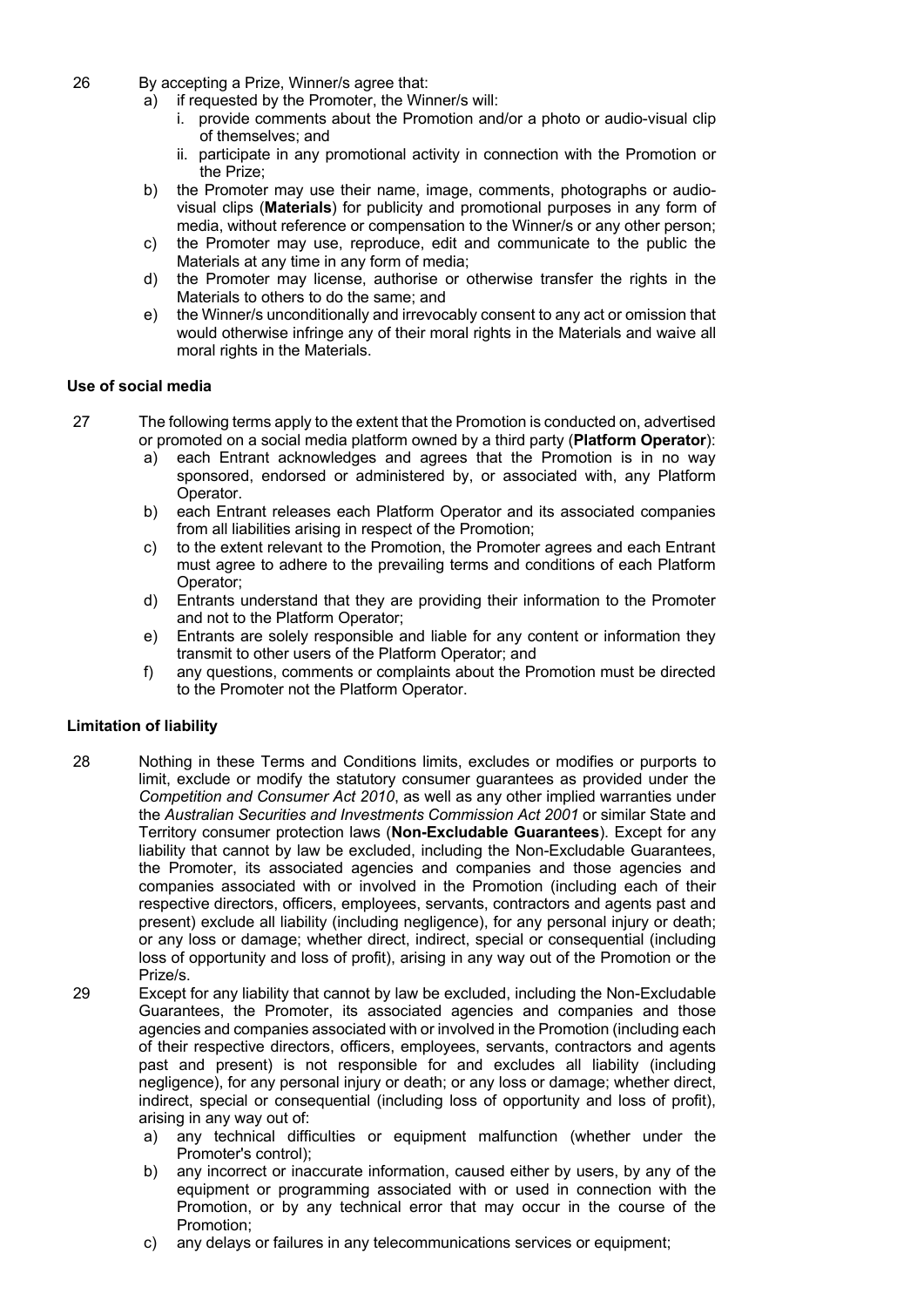- 26 By accepting a Prize, Winner/s agree that:
	- a) if requested by the Promoter, the Winner/s will:
		- i. provide comments about the Promotion and/or a photo or audio-visual clip of themselves; and
		- ii. participate in any promotional activity in connection with the Promotion or the Prize;
	- b) the Promoter may use their name, image, comments, photographs or audiovisual clips (**Materials**) for publicity and promotional purposes in any form of media, without reference or compensation to the Winner/s or any other person;
	- c) the Promoter may use, reproduce, edit and communicate to the public the Materials at any time in any form of media;
	- d) the Promoter may license, authorise or otherwise transfer the rights in the Materials to others to do the same; and
	- e) the Winner/s unconditionally and irrevocably consent to any act or omission that would otherwise infringe any of their moral rights in the Materials and waive all moral rights in the Materials.

#### **Use of social media**

- 27 The following terms apply to the extent that the Promotion is conducted on, advertised or promoted on a social media platform owned by a third party (**Platform Operator**):
	- a) each Entrant acknowledges and agrees that the Promotion is in no way sponsored, endorsed or administered by, or associated with, any Platform Operator.
	- b) each Entrant releases each Platform Operator and its associated companies from all liabilities arising in respect of the Promotion;
	- c) to the extent relevant to the Promotion, the Promoter agrees and each Entrant must agree to adhere to the prevailing terms and conditions of each Platform Operator;
	- d) Entrants understand that they are providing their information to the Promoter and not to the Platform Operator;
	- e) Entrants are solely responsible and liable for any content or information they transmit to other users of the Platform Operator; and
	- f) any questions, comments or complaints about the Promotion must be directed to the Promoter not the Platform Operator.

#### **Limitation of liability**

- 28 Nothing in these Terms and Conditions limits, excludes or modifies or purports to limit, exclude or modify the statutory consumer guarantees as provided under the *Competition and Consumer Act 2010*, as well as any other implied warranties under the *Australian Securities and Investments Commission Act 2001* or similar State and Territory consumer protection laws (**Non-Excludable Guarantees**). Except for any liability that cannot by law be excluded, including the Non-Excludable Guarantees, the Promoter, its associated agencies and companies and those agencies and companies associated with or involved in the Promotion (including each of their respective directors, officers, employees, servants, contractors and agents past and present) exclude all liability (including negligence), for any personal injury or death; or any loss or damage; whether direct, indirect, special or consequential (including loss of opportunity and loss of profit), arising in any way out of the Promotion or the Prize/s.
- 29 Except for any liability that cannot by law be excluded, including the Non-Excludable Guarantees, the Promoter, its associated agencies and companies and those agencies and companies associated with or involved in the Promotion (including each of their respective directors, officers, employees, servants, contractors and agents past and present) is not responsible for and excludes all liability (including negligence), for any personal injury or death; or any loss or damage; whether direct, indirect, special or consequential (including loss of opportunity and loss of profit), arising in any way out of:
	- a) any technical difficulties or equipment malfunction (whether under the Promoter's control);
	- b) any incorrect or inaccurate information, caused either by users, by any of the equipment or programming associated with or used in connection with the Promotion, or by any technical error that may occur in the course of the Promotion;
	- c) any delays or failures in any telecommunications services or equipment;